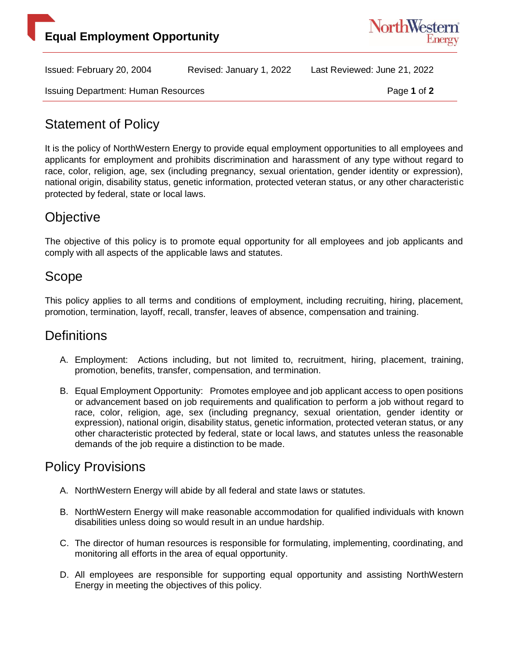



Issued: February 20, 2004 Revised: January 1, 2022 Last Reviewed: June 21, 2022

Issuing Department: Human Resources **Page 1** of 2

# Statement of Policy

It is the policy of NorthWestern Energy to provide equal employment opportunities to all employees and applicants for employment and prohibits discrimination and harassment of any type without regard to race, color, religion, age, sex (including pregnancy, sexual orientation, gender identity or expression), national origin, disability status, genetic information, protected veteran status, or any other characteristic protected by federal, state or local laws.

### **Objective**

The objective of this policy is to promote equal opportunity for all employees and job applicants and comply with all aspects of the applicable laws and statutes.

### Scope

This policy applies to all terms and conditions of employment, including recruiting, hiring, placement, promotion, termination, layoff, recall, transfer, leaves of absence, compensation and training.

# **Definitions**

- A. Employment: Actions including, but not limited to, recruitment, hiring, placement, training, promotion, benefits, transfer, compensation, and termination.
- B. Equal Employment Opportunity: Promotes employee and job applicant access to open positions or advancement based on job requirements and qualification to perform a job without regard to race, color, religion, age, sex (including pregnancy, sexual orientation, gender identity or expression), national origin, disability status, genetic information, protected veteran status, or any other characteristic protected by federal, state or local laws, and statutes unless the reasonable demands of the job require a distinction to be made.

# Policy Provisions

- A. NorthWestern Energy will abide by all federal and state laws or statutes.
- B. NorthWestern Energy will make reasonable accommodation for qualified individuals with known disabilities unless doing so would result in an undue hardship.
- C. The director of human resources is responsible for formulating, implementing, coordinating, and monitoring all efforts in the area of equal opportunity.
- D. All employees are responsible for supporting equal opportunity and assisting NorthWestern Energy in meeting the objectives of this policy.